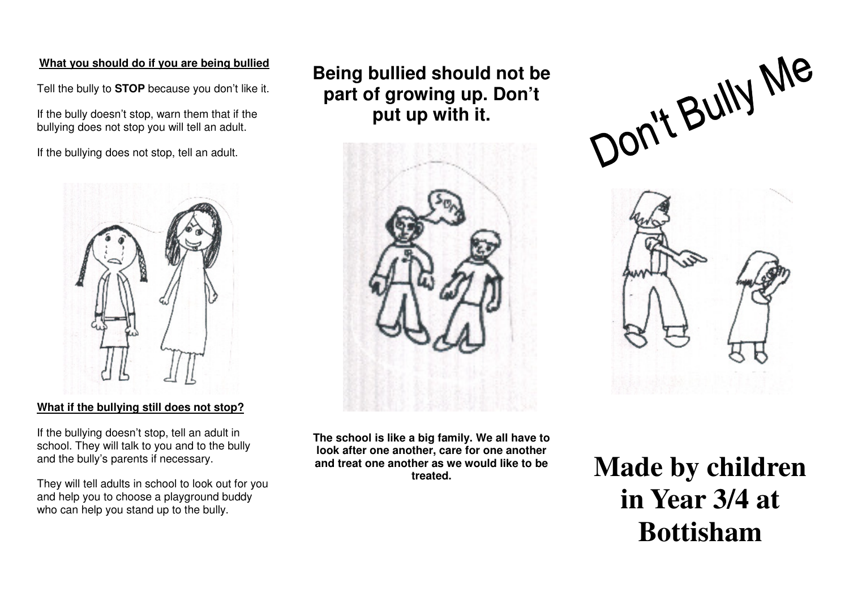### **What you should do if you are being bullied**

Tell the bully to **STOP** because you don't like it.

If the bully doesn't stop, warn them that if the bullying does not stop you will tell an adult.

If the bullying does not stop, tell an adult.



**What if the bullying still does not stop?**

If the bullying doesn't stop, tell an adult in school. They will talk to you and to the bully and the bully's parents if necessary.

They will tell adults in school to look out for youand help you to choose a playground buddy who can help you stand up to the bully.

**Being bullied should not be part of growing up. Don't put up with it.** 







**The school is like a big family. We all have to look after one another, care for one another and treat one another as we would like to be treated.**

 **Made by children in Year 3/4 at Bottisham**